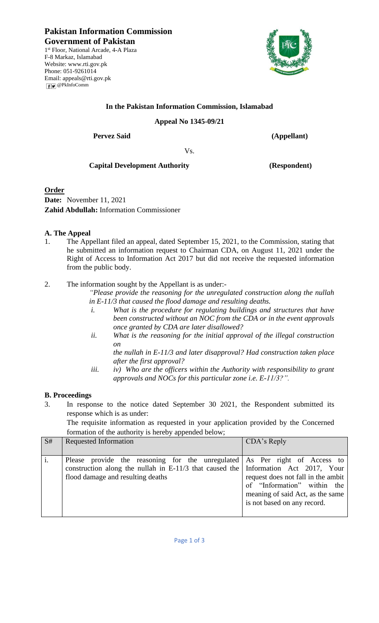**Pakistan Information Commission Government of Pakistan** 1 st Floor, National Arcade, 4-A Plaza F-8 Markaz, Islamabad Website: [www.rti.gov.pk](http://www.rti.gov.pk/) Phone: 051-9261014 Email: [appeals@rti.gov.pk](mailto:appeals@rti.gov.pk) **F** 



# **In the Pakistan Information Commission, Islamabad**

### **Appeal No 1345-09/21**

**Pervez Said (Appellant)**

Vs.

## **Capital Development Authority (Respondent)**

## **Order**

**Date:** November 11, 2021 **Zahid Abdullah:** Information Commissioner

#### **A. The Appeal**

1. The Appellant filed an appeal, dated September 15, 2021, to the Commission, stating that he submitted an information request to Chairman CDA, on August 11, 2021 under the Right of Access to Information Act 2017 but did not receive the requested information from the public body.

2. The information sought by the Appellant is as under:-

*"Please provide the reasoning for the unregulated construction along the nullah in E-11/3 that caused the flood damage and resulting deaths.*

- *i. What is the procedure for regulating buildings and structures that have been constructed without an NOC from the CDA or in the event approvals once granted by CDA are later disallowed?*
- *ii. What is the reasoning for the initial approval of the illegal construction on*

*the nullah in E-11/3 and later disapproval? Had construction taken place after the first approval?*

*iii. iv) Who are the officers within the Authority with responsibility to grant approvals and NOCs for this particular zone i.e. E-11/3?".*

## **B. Proceedings**

3. In response to the notice dated September 30 2021, the Respondent submitted its response which is as under:

The requisite information as requested in your application provided by the Concerned formation of the authority is hereby appended below;

| S# | <b>Requested Information</b>                                                                                                                                                                          | CDA's Reply                                                                                                                          |
|----|-------------------------------------------------------------------------------------------------------------------------------------------------------------------------------------------------------|--------------------------------------------------------------------------------------------------------------------------------------|
|    | Please provide the reasoning for the unregulated As Per right of Access to<br>construction along the nullah in E-11/3 that caused the Information Act 2017, Your<br>flood damage and resulting deaths | request does not fall in the ambit<br>of "Information" within the<br>meaning of said Act, as the same<br>is not based on any record. |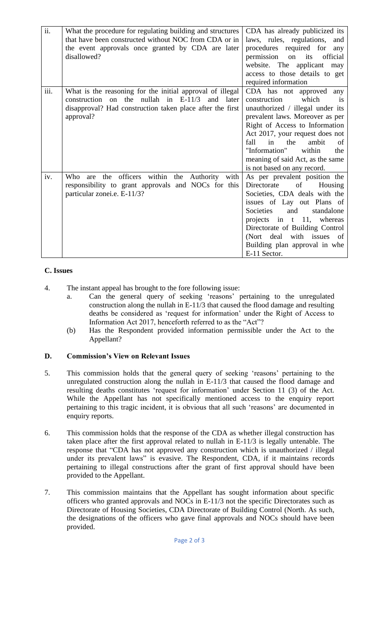| ii.  | What the procedure for regulating building and structures<br>that have been constructed without NOC from CDA or in<br>the event approvals once granted by CDA are later<br>disallowed?     | CDA has already publicized its<br>laws, rules, regulations,<br>and<br>procedures required for<br>any<br>permission<br>its<br>official<br>on<br>website. The applicant may<br>access to those details to get<br>required information                                                                                                       |
|------|--------------------------------------------------------------------------------------------------------------------------------------------------------------------------------------------|-------------------------------------------------------------------------------------------------------------------------------------------------------------------------------------------------------------------------------------------------------------------------------------------------------------------------------------------|
| iii. | What is the reasoning for the initial approval of illegal<br>construction on the nullah in $E-11/3$<br>and later<br>disapproval? Had construction taken place after the first<br>approval? | CDA has not approved any<br>which<br>construction<br>is<br>unauthorized / illegal under its<br>prevalent laws. Moreover as per<br>Right of Access to Information<br>Act 2017, your request does not<br>fall<br>in the<br>ambit<br>of<br>"Information"<br>within<br>the<br>meaning of said Act, as the same<br>is not based on any record. |
| iv.  | are the officers within the Authority with<br>Who<br>responsibility to grant approvals and NOCs for this<br>particular zonei.e. E-11/3?                                                    | As per prevalent position the<br>Directorate<br>of<br>Housing<br>Societies, CDA deals with the<br>issues of Lay out Plans of<br>and<br><b>Societies</b><br>standalone<br>projects in t 11, whereas<br>Directorate of Building Control<br>(Nort deal with issues of<br>Building plan approval in whe<br>E-11 Sector.                       |

## **C. Issues**

- 4. The instant appeal has brought to the fore following issue:
	- a. Can the general query of seeking 'reasons' pertaining to the unregulated construction along the nullah in E-11/3 that caused the flood damage and resulting deaths be considered as 'request for information' under the Right of Access to Information Act 2017, henceforth referred to as the "Act"?
	- (b) Has the Respondent provided information permissible under the Act to the Appellant?

#### **D. Commission's View on Relevant Issues**

- 5. This commission holds that the general query of seeking 'reasons' pertaining to the unregulated construction along the nullah in E-11/3 that caused the flood damage and resulting deaths constitutes 'request for information' under Section 11 (3) of the Act. While the Appellant has not specifically mentioned access to the enquiry report pertaining to this tragic incident, it is obvious that all such 'reasons' are documented in enquiry reports.
- 6. This commission holds that the response of the CDA as whether illegal construction has taken place after the first approval related to nullah in E-11/3 is legally untenable. The response that "CDA has not approved any construction which is unauthorized / illegal under its prevalent laws" is evasive. The Respondent, CDA, if it maintains records pertaining to illegal constructions after the grant of first approval should have been provided to the Appellant.
- 7. This commission maintains that the Appellant has sought information about specific officers who granted approvals and NOCs in E-11/3 not the specific Directorates such as Directorate of Housing Societies, CDA Directorate of Building Control (North. As such, the designations of the officers who gave final approvals and NOCs should have been provided.